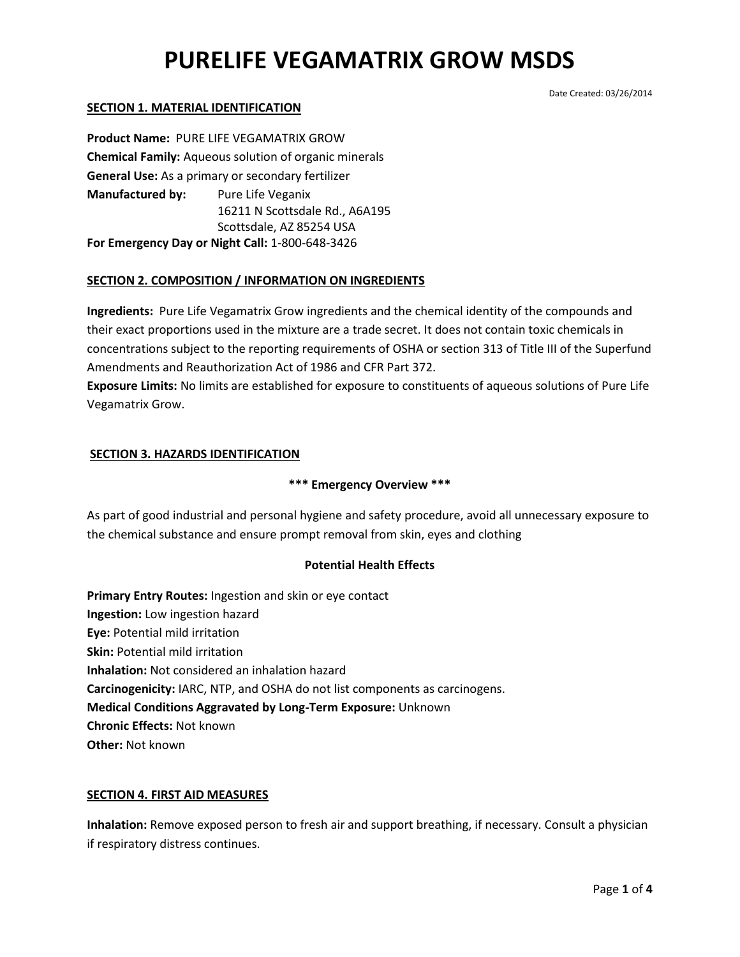#### Date Created: 03/26/2014

## **SECTION 1. MATERIAL IDENTIFICATION**

**Product Name:** PURE LIFE VEGAMATRIX GROW **Chemical Family:** Aqueous solution of organic minerals **General Use:** As a primary or secondary fertilizer **Manufactured by:** Pure Life Veganix 16211 N Scottsdale Rd., A6A195 Scottsdale, AZ 85254 USA **For Emergency Day or Night Call:** 1-800-648-3426

### **SECTION 2. COMPOSITION / INFORMATION ON INGREDIENTS**

**Ingredients:** Pure Life Vegamatrix Grow ingredients and the chemical identity of the compounds and their exact proportions used in the mixture are a trade secret. It does not contain toxic chemicals in concentrations subject to the reporting requirements of OSHA or section 313 of Title III of the Superfund Amendments and Reauthorization Act of 1986 and CFR Part 372.

**Exposure Limits:** No limits are established for exposure to constituents of aqueous solutions of Pure Life Vegamatrix Grow.

### **SECTION 3. HAZARDS IDENTIFICATION**

#### **\*\*\* Emergency Overview \*\*\***

As part of good industrial and personal hygiene and safety procedure, avoid all unnecessary exposure to the chemical substance and ensure prompt removal from skin, eyes and clothing

#### **Potential Health Effects**

**Primary Entry Routes:** Ingestion and skin or eye contact **Ingestion:** Low ingestion hazard **Eye:** Potential mild irritation **Skin:** Potential mild irritation **Inhalation:** Not considered an inhalation hazard **Carcinogenicity:** IARC, NTP, and OSHA do not list components as carcinogens. **Medical Conditions Aggravated by Long-Term Exposure:** Unknown **Chronic Effects:** Not known **Other:** Not known

#### **SECTION 4. FIRST AID MEASURES**

**Inhalation:** Remove exposed person to fresh air and support breathing, if necessary. Consult a physician if respiratory distress continues.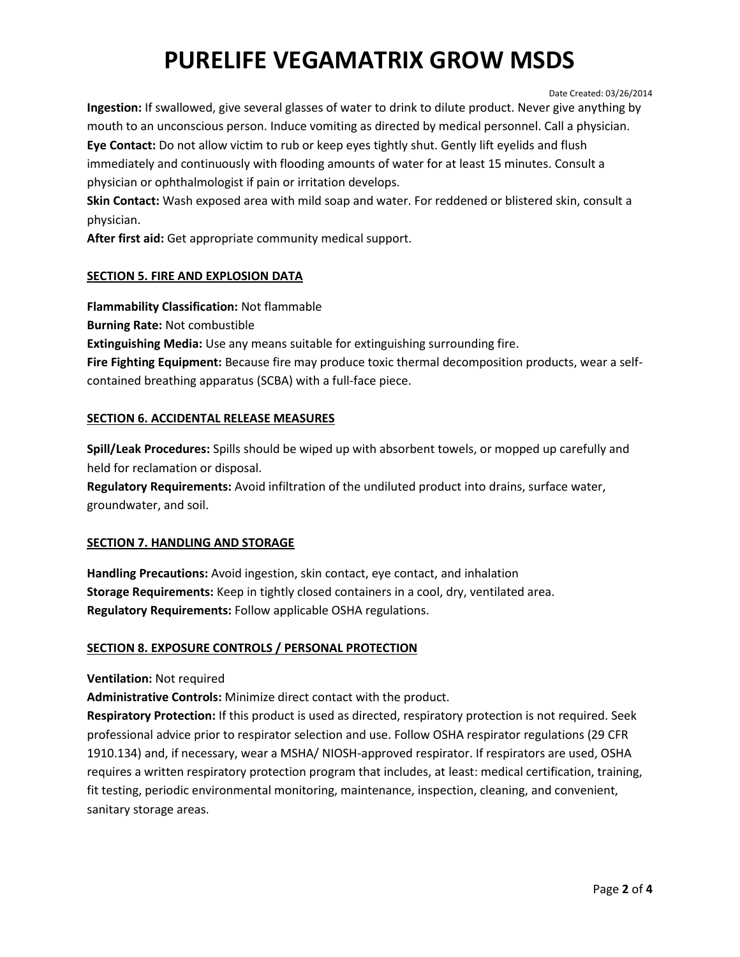#### Date Created: 03/26/2014

**Ingestion:** If swallowed, give several glasses of water to drink to dilute product. Never give anything by mouth to an unconscious person. Induce vomiting as directed by medical personnel. Call a physician. **Eye Contact:** Do not allow victim to rub or keep eyes tightly shut. Gently lift eyelids and flush immediately and continuously with flooding amounts of water for at least 15 minutes. Consult a

physician or ophthalmologist if pain or irritation develops.

**Skin Contact:** Wash exposed area with mild soap and water. For reddened or blistered skin, consult a physician.

**After first aid:** Get appropriate community medical support.

# **SECTION 5. FIRE AND EXPLOSION DATA**

**Flammability Classification:** Not flammable

**Burning Rate:** Not combustible

**Extinguishing Media:** Use any means suitable for extinguishing surrounding fire.

**Fire Fighting Equipment:** Because fire may produce toxic thermal decomposition products, wear a selfcontained breathing apparatus (SCBA) with a full-face piece.

# **SECTION 6. ACCIDENTAL RELEASE MEASURES**

**Spill/Leak Procedures:** Spills should be wiped up with absorbent towels, or mopped up carefully and held for reclamation or disposal.

**Regulatory Requirements:** Avoid infiltration of the undiluted product into drains, surface water, groundwater, and soil.

# **SECTION 7. HANDLING AND STORAGE**

**Handling Precautions:** Avoid ingestion, skin contact, eye contact, and inhalation **Storage Requirements:** Keep in tightly closed containers in a cool, dry, ventilated area. **Regulatory Requirements:** Follow applicable OSHA regulations.

# **SECTION 8. EXPOSURE CONTROLS / PERSONAL PROTECTION**

**Ventilation:** Not required

**Administrative Controls:** Minimize direct contact with the product.

**Respiratory Protection:** If this product is used as directed, respiratory protection is not required. Seek professional advice prior to respirator selection and use. Follow OSHA respirator regulations (29 CFR 1910.134) and, if necessary, wear a MSHA/ NIOSH-approved respirator. If respirators are used, OSHA requires a written respiratory protection program that includes, at least: medical certification, training, fit testing, periodic environmental monitoring, maintenance, inspection, cleaning, and convenient, sanitary storage areas.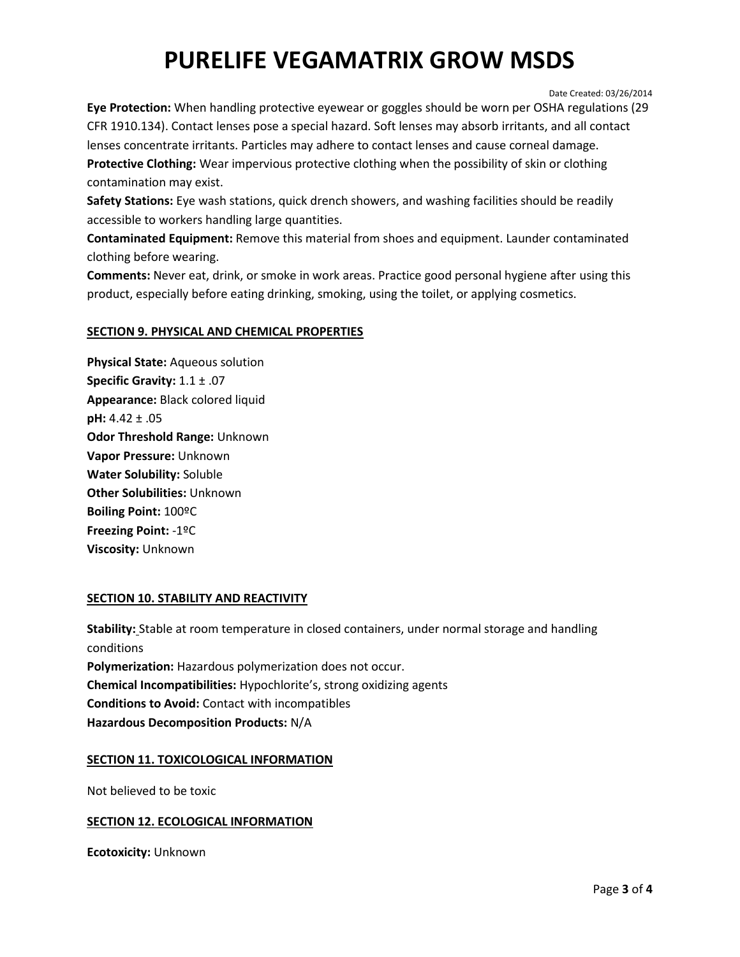Date Created: 03/26/2014

**Eye Protection:** When handling protective eyewear or goggles should be worn per OSHA regulations (29 CFR 1910.134). Contact lenses pose a special hazard. Soft lenses may absorb irritants, and all contact lenses concentrate irritants. Particles may adhere to contact lenses and cause corneal damage. **Protective Clothing:** Wear impervious protective clothing when the possibility of skin or clothing contamination may exist.

**Safety Stations:** Eye wash stations, quick drench showers, and washing facilities should be readily accessible to workers handling large quantities.

**Contaminated Equipment:** Remove this material from shoes and equipment. Launder contaminated clothing before wearing.

**Comments:** Never eat, drink, or smoke in work areas. Practice good personal hygiene after using this product, especially before eating drinking, smoking, using the toilet, or applying cosmetics.

# **SECTION 9. PHYSICAL AND CHEMICAL PROPERTIES**

**Physical State:** Aqueous solution **Specific Gravity:** 1.1 ± .07 **Appearance:** Black colored liquid **pH:** 4.42 ± .05 **Odor Threshold Range:** Unknown **Vapor Pressure:** Unknown **Water Solubility:** Soluble **Other Solubilities:** Unknown **Boiling Point:** 100ºC **Freezing Point:** -1ºC **Viscosity:** Unknown

# **SECTION 10. STABILITY AND REACTIVITY**

**Stability:** Stable at room temperature in closed containers, under normal storage and handling conditions **Polymerization:** Hazardous polymerization does not occur. **Chemical Incompatibilities:** Hypochlorite's, strong oxidizing agents **Conditions to Avoid:** Contact with incompatibles **Hazardous Decomposition Products:** N/A

#### **SECTION 11. TOXICOLOGICAL INFORMATION**

Not believed to be toxic

# **SECTION 12. ECOLOGICAL INFORMATION**

**Ecotoxicity:** Unknown